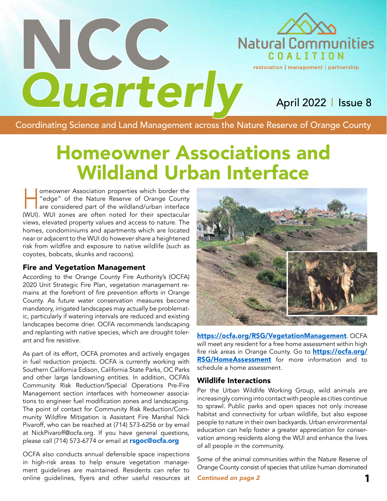

# *Quarterly* April 2022 | Issue 8

Coordinating Science and Land Management across the Nature Reserve of Orange County

## Homeowner Associations and Wildland Urban Interface

meowner Association properties which border the<br>
"edge" of the Nature Reserve of Orange County<br>
are considered part of the wildland/urban interface "edge" of the Nature Reserve of Orange County (WUI). WUI zones are often noted for their spectacular views, elevated property values and access to nature. The homes, condominiums and apartments which are located near or adjacent to the WUI do however share a heightened risk from wildfire and exposure to native wildlife (such as coyotes, bobcats, skunks and racoons).

NCC.

#### Fire and Vegetation Management

According to the Orange County Fire Authority's (OCFA) 2020 Unit Strategic Fire Plan, vegetation management remains at the forefront of fire prevention efforts in Orange County. As future water conservation measures become mandatory, irrigated landscapes may actually be problematic, particularly if watering intervals are reduced and existing landscapes become drier. OCFA recommends landscaping and replanting with native species, which are drought tolerant and fire resistive.

As part of its effort, OCFA promotes and actively engages in fuel reduction projects. OCFA is currently working with Southern California Edison, California State Parks, OC Parks and other large landowning entities. In addition, OCFA's Community Risk Reduction/Special Operations Pre-Fire Management section interfaces with homeowner associations to engineer fuel modification zones and landscaping. The point of contact for Community Risk Reduction/Community Wildfire Mitigation is Assistant Fire Marshal Nick Pivaroff, who can be reached at (714) 573-6256 or by email at NickPivaroff@ocfa.org. If you have general questions, please call (714) 573-6774 or email at **rsgoc@ocfa.org** 

OCFA also conducts annual defensible space inspections in high-risk areas to help ensure vegetation management guidelines are maintained. Residents can refer to online guidelines, flyers and other useful resources at



https://ocfa.org/RSG/VegetationManagement. OCFA will meet any resident for a free home assessment within high fire risk areas in Orange County. Go to **https://ocfa.org/ RSG/HomeAssessment** for more information and to schedule a home assessment.

#### Wildlife Interactions

Per the Urban Wildlife Working Group, wild animals are increasingly coming into contact with people as cities continue to sprawl. Public parks and open spaces not only increase habitat and connectivity for urban wildlife, but also expose people to nature in their own backyards. Urban environmental education can help foster a greater appreciation for conservation among residents along the WUI and enhance the lives of all people in the community.

Some of the animal communities within the Nature Reserve of Orange County consist of species that utilize human dominated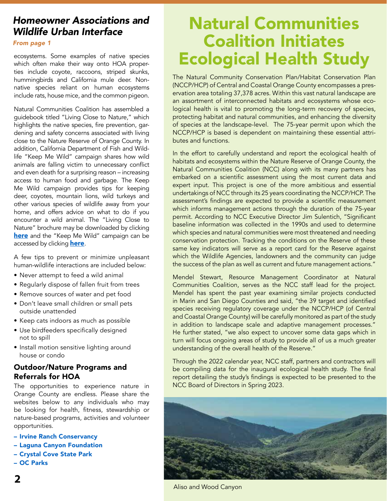### *Homeowner Associations and Wildlife Urban Interface*

#### *From page 1*

ecosystems. Some examples of native species which often make their way onto HOA properties include coyote, raccoons, striped skunks, hummingbirds and California mule deer. Nonnative species reliant on human ecosystems include rats, house mice, and the common pigeon.

Natural Communities Coalition has assembled a guidebook titled "Living Close to Nature," which highlights the native species, fire prevention, gardening and safety concerns associated with living close to the Nature Reserve of Orange County. In addition, California Department of Fish and Wildlife "Keep Me Wild" campaign shares how wild animals are falling victim to unnecessary conflict and even death for a surprising reason – increasing access to human food and garbage. The Keep Me Wild campaign provides tips for keeping deer, coyotes, mountain lions, wild turkeys and other various species of wildlife away from your home, and offers advice on what to do if you encounter a wild animal. The "Living Close to Nature" brochure may be downloaded by clicking here and the "Keep Me Wild" campaign can be accessed by clicking **here**.

A few tips to prevent or minimize unpleasant human-wildlife interactions are included below:

- Never attempt to feed a wild animal
- Regularly dispose of fallen fruit from trees
- Remove sources of water and pet food
- Don't leave small children or small pets outside unattended
- Keep cats indoors as much as possible
- Use birdfeeders specifically designed not to spill
- Install motion sensitive lighting around house or condo

### Outdoor/Nature Programs and Referrals for HOA

The opportunities to experience nature in Orange County are endless. Please share the websites below to any individuals who may be looking for health, fitness, stewardship or nature-based programs, activities and volunteer opportunities.

- Irvine Ranch Conservancy
- Laguna Canyon Foundation
- Crystal Cove State Park
- OC Parks

## Natural Communities Coalition Initiates Ecological Health Study

The Natural Community Conservation Plan/Habitat Conservation Plan (NCCP/HCP) of Central and Coastal Orange County encompasses a preservation area totaling 37,378 acres. Within this vast natural landscape are an assortment of interconnected habitats and ecosystems whose ecological health is vital to promoting the long-term recovery of species, protecting habitat and natural communities, and enhancing the diversity of species at the landscape-level. The 75-year permit upon which the NCCP/HCP is based is dependent on maintaining these essential attributes and functions.

In the effort to carefully understand and report the ecological health of habitats and ecosystems within the Nature Reserve of Orange County, the Natural Communities Coalition (NCC) along with its many partners has embarked on a scientific assessment using the most current data and expert input. This project is one of the more ambitious and essential undertakings of NCC through its 25 years coordinating the NCCP/HCP. The assessment's findings are expected to provide a scientific measurement which informs management actions through the duration of the 75-year permit. According to NCC Executive Director Jim Sulentich, "Significant baseline information was collected in the 1990s and used to determine which species and natural communities were most threatened and needing conservation protection. Tracking the conditions on the Reserve of these same key indicators will serve as a report card for the Reserve against which the Wildlife Agencies, landowners and the community can judge the success of the plan as well as current and future management actions."

Mendel Stewart, Resource Management Coordinator at Natural Communities Coalition, serves as the NCC staff lead for the project. Mendel has spent the past year examining similar projects conducted in Marin and San Diego Counties and said, "the 39 target and identified species receiving regulatory coverage under the NCCP/HCP (of Central and Coastal Orange County) will be carefully monitored as part of the study in addition to landscape scale and adaptive management processes." He further stated, "we also expect to uncover some data gaps which in turn will focus ongoing areas of study to provide all of us a much greater understanding of the overall health of the Reserve."

Through the 2022 calendar year, NCC staff, partners and contractors will be compiling data for the inaugural ecological health study. The final report detailing the study's findings is expected to be presented to the NCC Board of Directors in Spring 2023.



Aliso and Wood Canyon